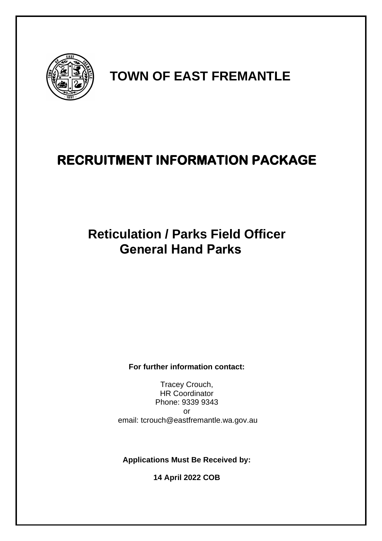

## **TOWN OF EAST FREMANTLE**

## **RECRUITMENT INFORMATION PACKAGE**

# **Reticulation / Parks Field Officer General Hand Parks**

**For further information contact:** 

Tracey Crouch, HR Coordinator Phone: 9339 9343 or email: tcrouch@eastfremantle.wa.gov.au

**Applications Must Be Received by:**

**14 April 2022 COB**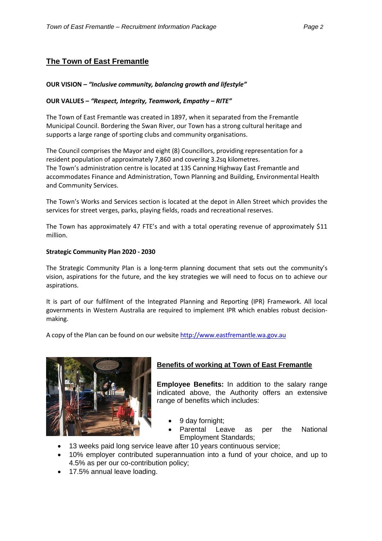## **The Town of East Fremantle**

#### **OUR VISION –** *"Inclusive community, balancing growth and lifestyle"*

#### **OUR VALUES –** *"Respect, Integrity, Teamwork, Empathy – RITE"*

The Town of East Fremantle was created in 1897, when it separated from the Fremantle Municipal Council. Bordering the Swan River, our Town has a strong cultural heritage and supports a large range of sporting clubs and community organisations.

The Council comprises the Mayor and eight (8) Councillors, providing representation for a resident population of approximately 7,860 and covering 3.2sq kilometres. The Town's administration centre is located at 135 Canning Highway East Fremantle and accommodates Finance and Administration, Town Planning and Building, Environmental Health and Community Services.

The Town's Works and Services section is located at the depot in Allen Street which provides the services for street verges, parks, playing fields, roads and recreational reserves.

The Town has approximately 47 FTE's and with a total operating revenue of approximately \$11 million.

#### **Strategic Community Plan 2020 - 2030**

The Strategic Community Plan is a long-term planning document that sets out the community's vision, aspirations for the future, and the key strategies we will need to focus on to achieve our aspirations.

It is part of our fulfilment of the Integrated Planning and Reporting (IPR) Framework. All local governments in Western Australia are required to implement IPR which enables robust decisionmaking.

A copy of the Plan can be found on our website [http://www.eastfremantle.wa.gov.au](http://www.eastfremantle.wa.gov.au/)



## **Benefits of working at Town of East Fremantle**

**Employee Benefits:** In addition to the salary range indicated above, the Authority offers an extensive range of benefits which includes:

- 9 day fornight;
- Parental Leave as per the National Employment Standards;
- 13 weeks paid long service leave after 10 years continuous service;
- 10% employer contributed superannuation into a fund of your choice, and up to 4.5% as per our co-contribution policy;
- 17.5% annual leave loading.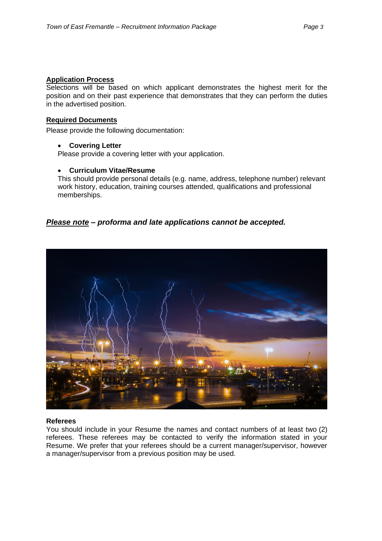## **Application Process**

Selections will be based on which applicant demonstrates the highest merit for the position and on their past experience that demonstrates that they can perform the duties in the advertised position.

#### **Required Documents**

Please provide the following documentation:

#### • **Covering Letter**

Please provide a covering letter with your application.

#### • **Curriculum Vitae/Resume**

This should provide personal details (e.g. name, address, telephone number) relevant work history, education, training courses attended, qualifications and professional memberships.

## *Please note – proforma and late applications cannot be accepted.*



#### **Referees**

You should include in your Resume the names and contact numbers of at least two (2) referees. These referees may be contacted to verify the information stated in your Resume. We prefer that your referees should be a current manager/supervisor, however a manager/supervisor from a previous position may be used.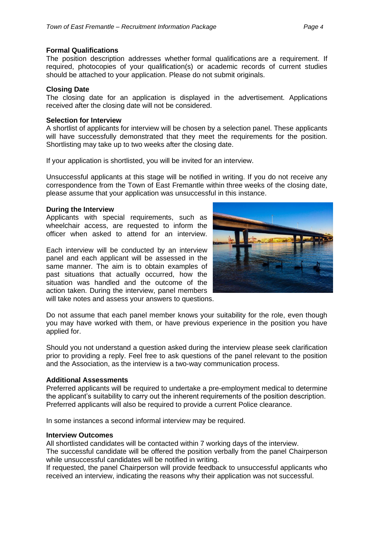#### **Formal Qualifications**

The position description addresses whether formal qualifications are a requirement. If required, photocopies of your qualification(s) or academic records of current studies should be attached to your application. Please do not submit originals.

#### **Closing Date**

The closing date for an application is displayed in the advertisement. Applications received after the closing date will not be considered.

#### **Selection for Interview**

A shortlist of applicants for interview will be chosen by a selection panel. These applicants will have successfully demonstrated that they meet the requirements for the position. Shortlisting may take up to two weeks after the closing date.

If your application is shortlisted, you will be invited for an interview.

Unsuccessful applicants at this stage will be notified in writing. If you do not receive any correspondence from the Town of East Fremantle within three weeks of the closing date, please assume that your application was unsuccessful in this instance.

#### **During the Interview**

Applicants with special requirements, such as wheelchair access, are requested to inform the officer when asked to attend for an interview.

Each interview will be conducted by an interview panel and each applicant will be assessed in the same manner. The aim is to obtain examples of past situations that actually occurred, how the situation was handled and the outcome of the action taken. During the interview, panel members will take notes and assess your answers to questions.



Do not assume that each panel member knows your suitability for the role, even though you may have worked with them, or have previous experience in the position you have applied for.

Should you not understand a question asked during the interview please seek clarification prior to providing a reply. Feel free to ask questions of the panel relevant to the position and the Association, as the interview is a two-way communication process.

## **Additional Assessments**

Preferred applicants will be required to undertake a pre-employment medical to determine the applicant's suitability to carry out the inherent requirements of the position description. Preferred applicants will also be required to provide a current Police clearance.

In some instances a second informal interview may be required.

#### **Interview Outcomes**

All shortlisted candidates will be contacted within 7 working days of the interview.

The successful candidate will be offered the position verbally from the panel Chairperson while unsuccessful candidates will be notified in writing.

If requested, the panel Chairperson will provide feedback to unsuccessful applicants who received an interview, indicating the reasons why their application was not successful.